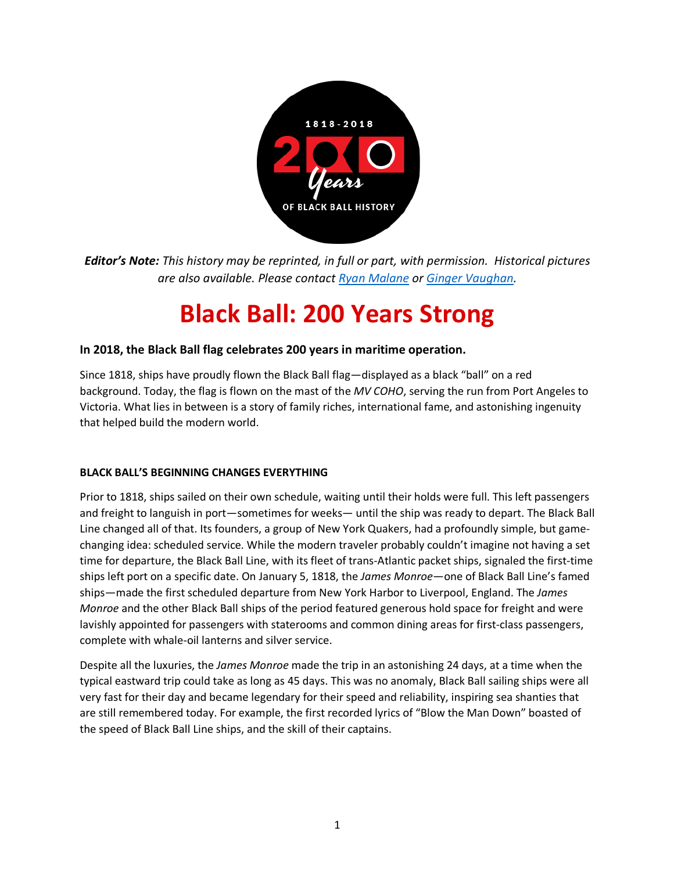

*Editor's Note: This history may be reprinted, in full or part, with permission. Historical pictures are also available. Please contact Ryan Malane or Ginger Vaughan.* 

# **Black Ball: 200 Years Strong**

# **In 2018, the Black Ball flag celebrates 200 years in maritime operation.**

Since 1818, ships have proudly flown the Black Ball flag—displayed as a black "ball" on a red background. Today, the flag is flown on the mast of the *MV COHO*, serving the run from Port Angeles to Victoria. What lies in between is a story of family riches, international fame, and astonishing ingenuity that helped build the modern world.

## **BLACK BALL'S BEGINNING CHANGES EVERYTHING**

Prior to 1818, ships sailed on their own schedule, waiting until their holds were full. This left passengers and freight to languish in port—sometimes for weeks— until the ship was ready to depart. The Black Ball Line changed all of that. Its founders, a group of New York Quakers, had a profoundly simple, but gamechanging idea: scheduled service. While the modern traveler probably couldn't imagine not having a set time for departure, the Black Ball Line, with its fleet of trans-Atlantic packet ships, signaled the first-time ships left port on a specific date. On January 5, 1818, the *James Monroe*—one of Black Ball Line's famed ships—made the first scheduled departure from New York Harbor to Liverpool, England. The *James Monroe* and the other Black Ball ships of the period featured generous hold space for freight and were lavishly appointed for passengers with staterooms and common dining areas for first-class passengers, complete with whale-oil lanterns and silver service.

Despite all the luxuries, the *James Monroe* made the trip in an astonishing 24 days, at a time when the typical eastward trip could take as long as 45 days. This was no anomaly, Black Ball sailing ships were all very fast for their day and became legendary for their speed and reliability, inspiring sea shanties that are still remembered today. For example, the first recorded lyrics of "Blow the Man Down" boasted of the speed of Black Ball Line ships, and the skill of their captains.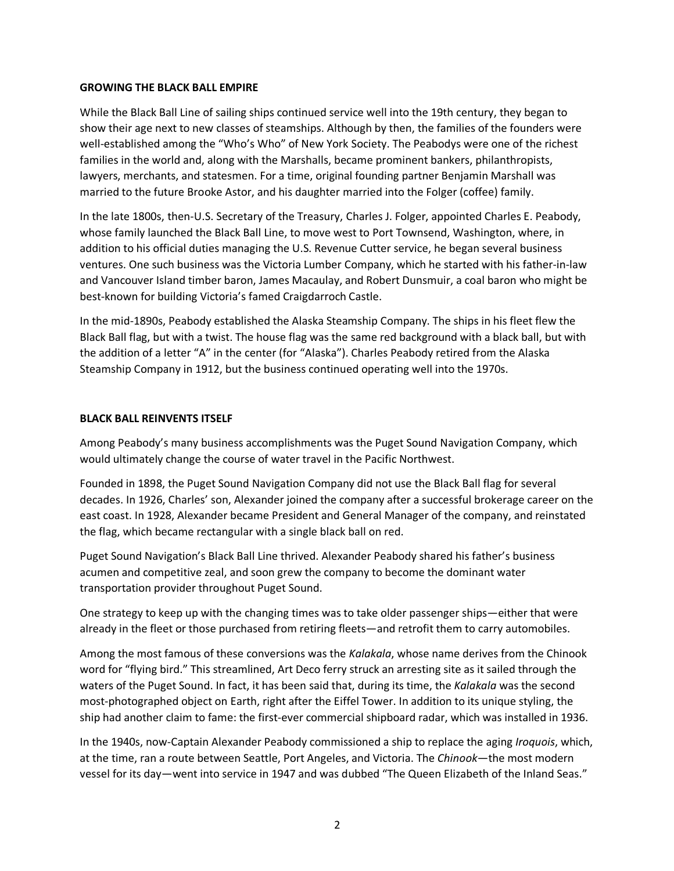#### **GROWING THE BLACK BALL EMPIRE**

While the Black Ball Line of sailing ships continued service well into the 19th century, they began to show their age next to new classes of steamships. Although by then, the families of the founders were well-established among the "Who's Who" of New York Society. The Peabodys were one of the richest families in the world and, along with the Marshalls, became prominent bankers, philanthropists, lawyers, merchants, and statesmen. For a time, original founding partner Benjamin Marshall was married to the future Brooke Astor, and his daughter married into the Folger (coffee) family.

In the late 1800s, then-U.S. Secretary of the Treasury, Charles J. Folger, appointed Charles E. Peabody, whose family launched the Black Ball Line, to move west to Port Townsend, Washington, where, in addition to his official duties managing the U.S. Revenue Cutter service, he began several business ventures. One such business was the Victoria Lumber Company, which he started with his father-in-law and Vancouver Island timber baron, James Macaulay, and Robert Dunsmuir, a coal baron who might be best-known for building Victoria's famed Craigdarroch Castle.

In the mid-1890s, Peabody established the Alaska Steamship Company. The ships in his fleet flew the Black Ball flag, but with a twist. The house flag was the same red background with a black ball, but with the addition of a letter "A" in the center (for "Alaska"). Charles Peabody retired from the Alaska Steamship Company in 1912, but the business continued operating well into the 1970s.

#### **BLACK BALL REINVENTS ITSELF**

Among Peabody's many business accomplishments was the Puget Sound Navigation Company, which would ultimately change the course of water travel in the Pacific Northwest.

Founded in 1898, the Puget Sound Navigation Company did not use the Black Ball flag for several decades. In 1926, Charles' son, Alexander joined the company after a successful brokerage career on the east coast. In 1928, Alexander became President and General Manager of the company, and reinstated the flag, which became rectangular with a single black ball on red.

Puget Sound Navigation's Black Ball Line thrived. Alexander Peabody shared his father's business acumen and competitive zeal, and soon grew the company to become the dominant water transportation provider throughout Puget Sound.

One strategy to keep up with the changing times was to take older passenger ships—either that were already in the fleet or those purchased from retiring fleets—and retrofit them to carry automobiles.

Among the most famous of these conversions was the *Kalakala*, whose name derives from the Chinook word for "flying bird." This streamlined, Art Deco ferry struck an arresting site as it sailed through the waters of the Puget Sound. In fact, it has been said that, during its time, the *Kalakala* was the second most-photographed object on Earth, right after the Eiffel Tower. In addition to its unique styling, the ship had another claim to fame: the first-ever commercial shipboard radar, which was installed in 1936.

In the 1940s, now-Captain Alexander Peabody commissioned a ship to replace the aging *Iroquois*, which, at the time, ran a route between Seattle, Port Angeles, and Victoria. The *Chinook*—the most modern vessel for its day—went into service in 1947 and was dubbed "The Queen Elizabeth of the Inland Seas."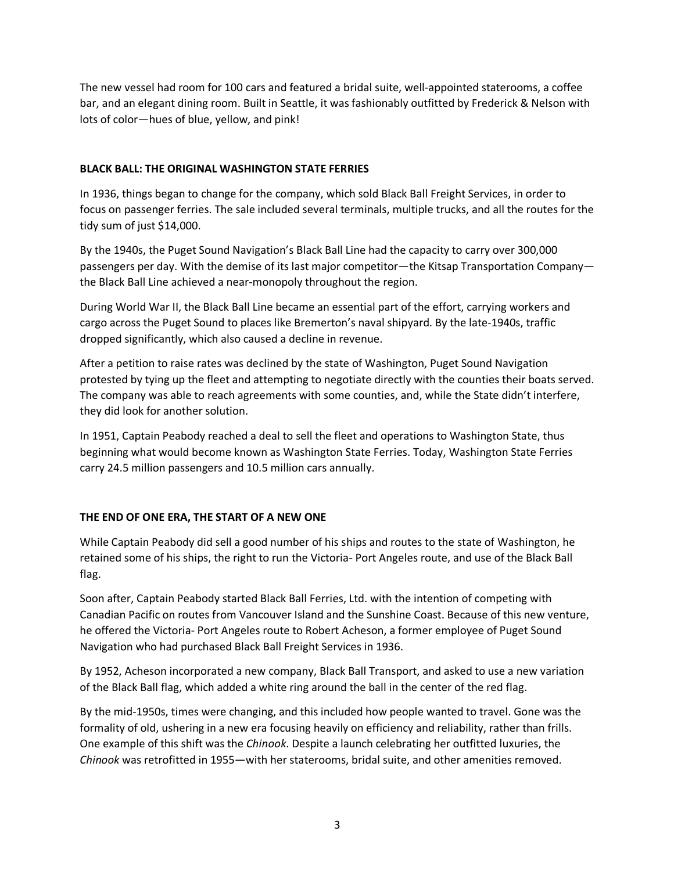The new vessel had room for 100 cars and featured a bridal suite, well-appointed staterooms, a coffee bar, and an elegant dining room. Built in Seattle, it was fashionably outfitted by Frederick & Nelson with lots of color—hues of blue, yellow, and pink!

## **BLACK BALL: THE ORIGINAL WASHINGTON STATE FERRIES**

In 1936, things began to change for the company, which sold Black Ball Freight Services, in order to focus on passenger ferries. The sale included several terminals, multiple trucks, and all the routes for the tidy sum of just \$14,000.

By the 1940s, the Puget Sound Navigation's Black Ball Line had the capacity to carry over 300,000 passengers per day. With the demise of its last major competitor—the Kitsap Transportation Company the Black Ball Line achieved a near-monopoly throughout the region.

During World War II, the Black Ball Line became an essential part of the effort, carrying workers and cargo across the Puget Sound to places like Bremerton's naval shipyard. By the late-1940s, traffic dropped significantly, which also caused a decline in revenue.

After a petition to raise rates was declined by the state of Washington, Puget Sound Navigation protested by tying up the fleet and attempting to negotiate directly with the counties their boats served. The company was able to reach agreements with some counties, and, while the State didn't interfere, they did look for another solution.

In 1951, Captain Peabody reached a deal to sell the fleet and operations to Washington State, thus beginning what would become known as Washington State Ferries. Today, Washington State Ferries carry 24.5 million passengers and 10.5 million cars annually.

## **THE END OF ONE ERA, THE START OF A NEW ONE**

While Captain Peabody did sell a good number of his ships and routes to the state of Washington, he retained some of his ships, the right to run the Victoria- Port Angeles route, and use of the Black Ball flag.

Soon after, Captain Peabody started Black Ball Ferries, Ltd. with the intention of competing with Canadian Pacific on routes from Vancouver Island and the Sunshine Coast. Because of this new venture, he offered the Victoria- Port Angeles route to Robert Acheson, a former employee of Puget Sound Navigation who had purchased Black Ball Freight Services in 1936.

By 1952, Acheson incorporated a new company, Black Ball Transport, and asked to use a new variation of the Black Ball flag, which added a white ring around the ball in the center of the red flag.

By the mid-1950s, times were changing, and this included how people wanted to travel. Gone was the formality of old, ushering in a new era focusing heavily on efficiency and reliability, rather than frills. One example of this shift was the *Chinook*. Despite a launch celebrating her outfitted luxuries, the *Chinook* was retrofitted in 1955—with her staterooms, bridal suite, and other amenities removed.